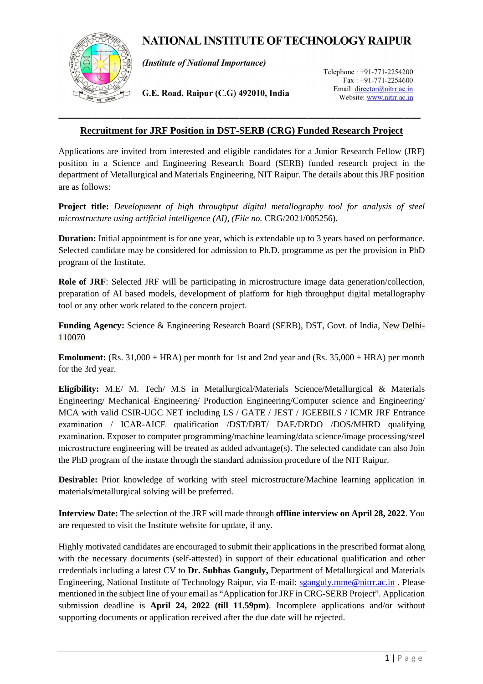# **NATIONAL INSTITUTE OF TECHNOLOGY RAIPUR**



(Institute of National Importance)

G.E. Road, Raipur (C.G) 492010, India

Telephone: +91-771-2254200  $Fast: +91-771-2254600$ Email: director@nitrr.ac.in Website: www.nitrr.ac.in

### **Recruitment for JRF Position in DST-SERB (CRG) Funded Research Project**

Applications are invited from interested and eligible candidates for a Junior Research Fellow (JRF) position in a Science and Engineering Research Board (SERB) funded research project in the department of Metallurgical and Materials Engineering, NIT Raipur. The details about this JRF position are as follows:

**Project title:** *Development of high throughput digital metallography tool for analysis of steel*  microstructure using artificial intelligence (AI), (File no. CRG/2021/005256).

**Duration:** Initial appointment is for one year, which is extendable up to 3 years based on performance. Selected candidate may be considered for admission to Ph.D. programme as per the provision in PhD program of the Institute.

**Role of JRF**: Selected JRF will be participating in microstructure image data generation/collection, preparation of AI based models, development of platform for high throughput digital metallography tool or any other work related to the concern project.

**Funding Agency:** Science & Engineering Research Board (SERB), DST, Govt. of India, New Delhi-110070

**Emolument:** (Rs. 31,000 + HRA) per month for 1st and 2nd year and (Rs. 35,000 + HRA) per month for the 3rd year.

**Eligibility:** M.E/ M. Tech/ M.S in Metallurgical/Materials Science/Metallurgical & Materials Engineering/ Mechanical Engineering/ Production Engineering/Computer science and Engineering/ MCA with valid CSIR-UGC NET including LS / GATE / JEST / JGEEBILS / ICMR JRF Entrance examination / ICAR-AICE qualification /DST/DBT/ DAE/DRDO /DOS/MHRD qualifying examination. Exposer to computer programming/machine learning/data science/image processing/steel microstructure engineering will be treated as added advantage(s). The selected candidate can also Join the PhD program of the instate through the standard admission procedure of the NIT Raipur.

**Desirable:** Prior knowledge of working with steel microstructure/Machine learning application in materials/metallurgical solving will be preferred.

**Interview Date:** The selection of the JRF will made through **offline interview on April 28, 2022**. You are requested to visit the Institute website for update, if any.

Highly motivated candidates are encouraged to submit their applications in the prescribed format along with the necessary documents (self-attested) in support of their educational qualification and other credentials including a latest CV to **Dr. Subhas Ganguly,** Department of Metallurgical and Materials Engineering, National Institute of Technology Raipur, via E-mail: sganguly.mme@nitrr.ac.in . Please mentioned in the subject line of your email as "Application for JRF in CRG-SERB Project". Application submission deadline is **April 24, 2022 (till 11.59pm)**. Incomplete applications and/or without supporting documents or application received after the due date will be rejected.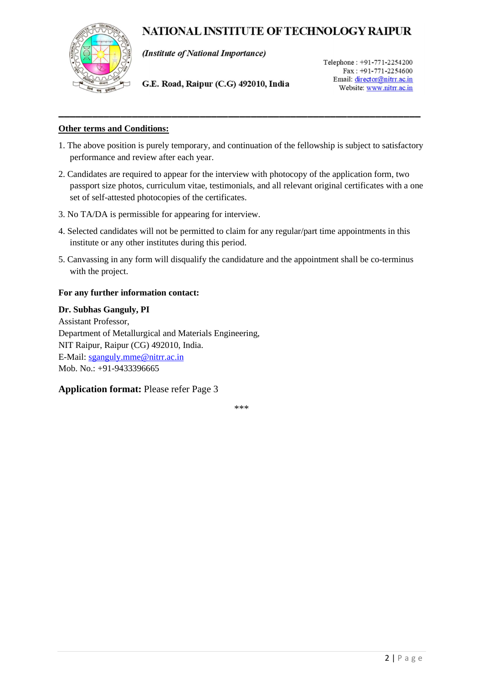## NATIONAL INSTITUTE OF TECHNOLOGY RAIPUR



(Institute of National Importance)

G.E. Road, Raipur (C.G) 492010, India

Telephone: +91-771-2254200 Fax: +91-771-2254600 Email: director@nitrr.ac.in Website: www.nitrr.ac.in

#### **Other terms and Conditions:**

1. The above position is purely temporary, and continuation of the fellowship is subject to satisfactory performance and review after each year.

**\_\_\_\_\_\_\_\_\_\_\_\_\_\_\_\_\_\_\_\_\_\_\_\_\_\_\_\_\_\_\_\_\_\_\_\_\_\_\_\_\_\_\_\_\_\_\_\_\_\_\_\_\_\_\_\_\_\_\_\_\_\_\_\_** 

- 2. Candidates are required to appear for the interview with photocopy of the application form, two passport size photos, curriculum vitae, testimonials, and all relevant original certificates with a one set of self-attested photocopies of the certificates.
- 3. No TA/DA is permissible for appearing for interview.
- 4. Selected candidates will not be permitted to claim for any regular/part time appointments in this institute or any other institutes during this period.
- 5. Canvassing in any form will disqualify the candidature and the appointment shall be co-terminus with the project.

#### **For any further information contact:**

#### **Dr. Subhas Ganguly, PI**

Assistant Professor, Department of Metallurgical and Materials Engineering, NIT Raipur, Raipur (CG) 492010, India. E-Mail: sganguly.mme@nitrr.ac.in Mob. No.: +91-9433396665

#### **Application format:** Please refer Page 3

\*\*\*